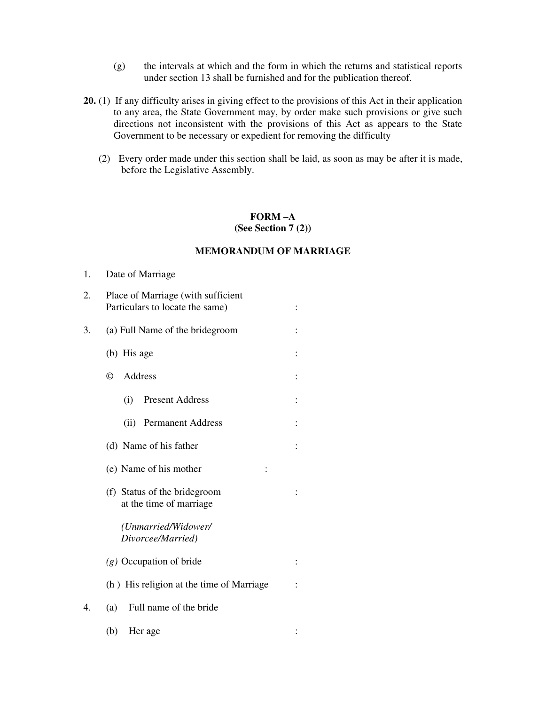- (g) the intervals at which and the form in which the returns and statistical reports under section 13 shall be furnished and for the publication thereof.
- **20.** (1) If any difficulty arises in giving effect to the provisions of this Act in their application to any area, the State Government may, by order make such provisions or give such directions not inconsistent with the provisions of this Act as appears to the State Government to be necessary or expedient for removing the difficulty
	- (2) Every order made under this section shall be laid, as soon as may be after it is made, before the Legislative Assembly.

## **FORM –A (See Section 7 (2))**

## **MEMORANDUM OF MARRIAGE**

- 1. Date of Marriage
- 2. Place of Marriage (with sufficient Particulars to locate the same) : 3. (a) Full Name of the bridegroom : (b) His age : © Address : (i) Present Address : (ii) Permanent Address : (d) Name of his father : (e) Name of his mother : (f) Status of the bridegroom : at the time of marriage *(Unmarried/Widower/ Divorcee/Married) (g)* Occupation of bride : (h) His religion at the time of Marriage : 4. (a) Full name of the bride (b) Her age :